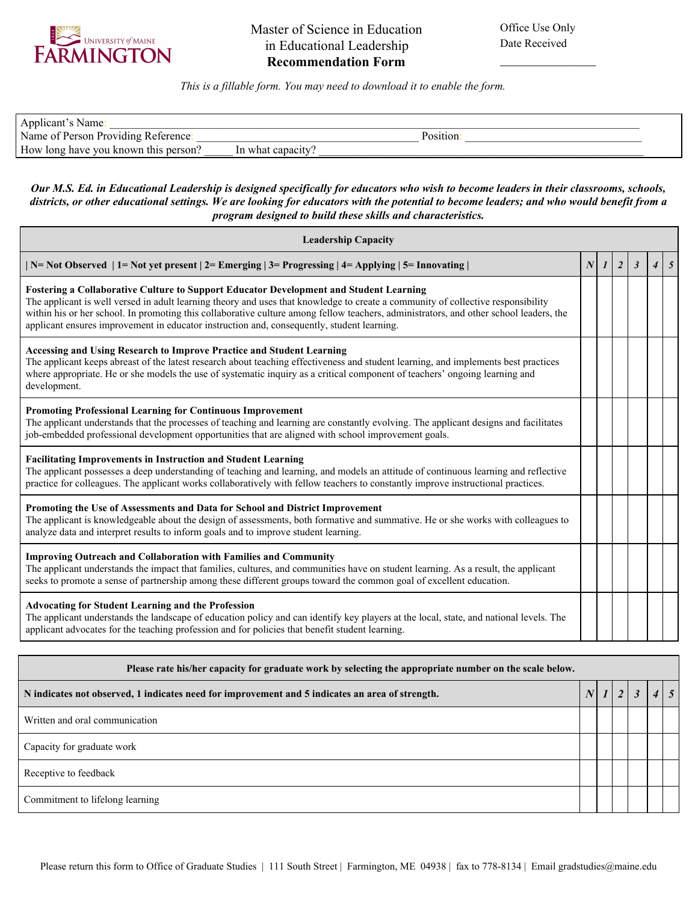

 $\frac{1}{2}$  ,  $\frac{1}{2}$  ,  $\frac{1}{2}$  ,  $\frac{1}{2}$  ,  $\frac{1}{2}$  ,  $\frac{1}{2}$  ,  $\frac{1}{2}$  ,  $\frac{1}{2}$ 

*This is a fillable form. You may need to download it to enable the form.*

| Applicant's Name:                    |                   |          |  |
|--------------------------------------|-------------------|----------|--|
| Name of Person Providing Reference:  |                   | Position |  |
| How long have you known this person? | In what capacity. |          |  |

## *Our M.S. Ed. in Educational Leadership is designed specifically for educators who wish to become leaders in their classrooms, schools, districts, or other educational settings. We are looking for educators with the potential to become leaders; and who would benefit from a program designed to build these skills and characteristics.*

| <b>Leadership Capacity</b>                                                                                                                                                                                                                                                                                                                                                                                                                                                |  |              |                |              |                |              |  |
|---------------------------------------------------------------------------------------------------------------------------------------------------------------------------------------------------------------------------------------------------------------------------------------------------------------------------------------------------------------------------------------------------------------------------------------------------------------------------|--|--------------|----------------|--------------|----------------|--------------|--|
| $\vert$ N= Not Observed $\vert$ 1= Not yet present $\vert$ 2= Emerging $\vert$ 3= Progressing $\vert$ 4= Applying $\vert$ 5= Innovating $\vert$                                                                                                                                                                                                                                                                                                                           |  | $\mathbf{I}$ | $\overline{2}$ | $\mathbf{3}$ | $\overline{4}$ | $\mathbf{5}$ |  |
| <b>Fostering a Collaborative Culture to Support Educator Development and Student Learning</b><br>The applicant is well versed in adult learning theory and uses that knowledge to create a community of collective responsibility<br>within his or her school. In promoting this collaborative culture among fellow teachers, administrators, and other school leaders, the<br>applicant ensures improvement in educator instruction and, consequently, student learning. |  |              |                |              |                |              |  |
| Accessing and Using Research to Improve Practice and Student Learning<br>The applicant keeps abreast of the latest research about teaching effectiveness and student learning, and implements best practices<br>where appropriate. He or she models the use of systematic inquiry as a critical component of teachers' ongoing learning and<br>development.                                                                                                               |  |              |                |              |                |              |  |
| <b>Promoting Professional Learning for Continuous Improvement</b><br>The applicant understands that the processes of teaching and learning are constantly evolving. The applicant designs and facilitates<br>job-embedded professional development opportunities that are aligned with school improvement goals.                                                                                                                                                          |  |              |                |              |                |              |  |
| <b>Facilitating Improvements in Instruction and Student Learning</b><br>The applicant possesses a deep understanding of teaching and learning, and models an attitude of continuous learning and reflective<br>practice for colleagues. The applicant works collaboratively with fellow teachers to constantly improve instructional practices.                                                                                                                           |  |              |                |              |                |              |  |
| Promoting the Use of Assessments and Data for School and District Improvement<br>The applicant is knowledgeable about the design of assessments, both formative and summative. He or she works with colleagues to<br>analyze data and interpret results to inform goals and to improve student learning.                                                                                                                                                                  |  |              |                |              |                |              |  |
| <b>Improving Outreach and Collaboration with Families and Community</b><br>The applicant understands the impact that families, cultures, and communities have on student learning. As a result, the applicant<br>seeks to promote a sense of partnership among these different groups toward the common goal of excellent education.                                                                                                                                      |  |              |                |              |                |              |  |
| <b>Advocating for Student Learning and the Profession</b><br>The applicant understands the landscape of education policy and can identify key players at the local, state, and national levels. The<br>applicant advocates for the teaching profession and for policies that benefit student learning.                                                                                                                                                                    |  |              |                |              |                |              |  |

| Please rate his/her capacity for graduate work by selecting the appropriate number on the scale below. |  |  |   |                |  |  |  |
|--------------------------------------------------------------------------------------------------------|--|--|---|----------------|--|--|--|
| N indicates not observed, 1 indicates need for improvement and 5 indicates an area of strength.        |  |  | 2 | $\mathfrak{Z}$ |  |  |  |
| Written and oral communication                                                                         |  |  |   |                |  |  |  |
| Capacity for graduate work                                                                             |  |  |   |                |  |  |  |
| Receptive to feedback                                                                                  |  |  |   |                |  |  |  |
| Commitment to lifelong learning                                                                        |  |  |   |                |  |  |  |